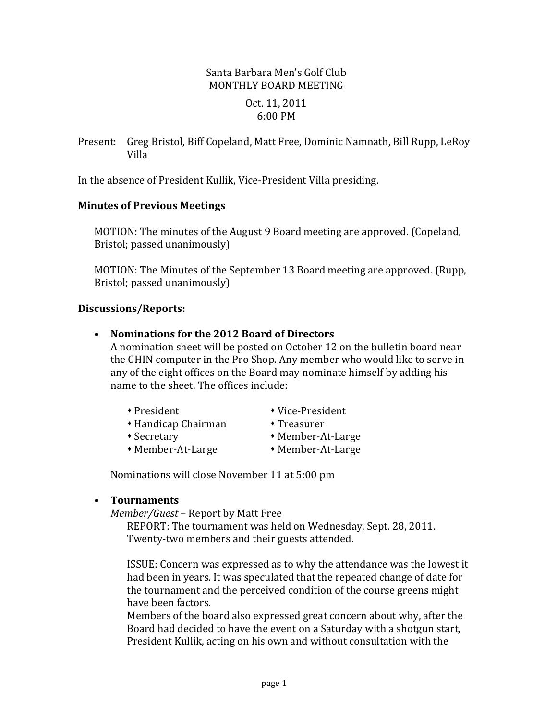## Santa Barbara Men's Golf Club MONTHLY BOARD MEETING Oct. 11, 2011 6:00 PM

Present: Greg Bristol, Biff Copeland, Matt Free, Dominic Namnath, Bill Rupp, LeRoy Villa

In the absence of President Kullik, Vice-President Villa presiding.

#### **Minutes of Previous Meetings**

MOTION: The minutes of the August 9 Board meeting are approved. (Copeland, Bristol; passed unanimously)

MOTION: The Minutes of the September 13 Board meeting are approved. (Rupp, Bristol; passed unanimously)

#### **Discussions/Reports:**

• Nominations for the 2012 Board of Directors

A nomination sheet will be posted on October 12 on the bulletin board near the GHIN computer in the Pro Shop. Any member who would like to serve in any of the eight offices on the Board may nominate himself by adding his name to the sheet. The offices include:

- 
- \* President \* Vice-President
- Handicap Chairman Treasurer
- 
- 
- Secretary Member-At-Large
- Member-At-Large Member-At-Large
	-

Nominations will close November 11 at 5:00 pm

### • **Tournaments**

*Member/Guest* – Report by Matt Free

REPORT: The tournament was held on Wednesday, Sept. 28, 2011. Twenty-two members and their guests attended.

ISSUE: Concern was expressed as to why the attendance was the lowest it had been in years. It was speculated that the repeated change of date for the tournament and the perceived condition of the course greens might have been factors.

Members of the board also expressed great concern about why, after the Board had decided to have the event on a Saturday with a shotgun start, President Kullik, acting on his own and without consultation with the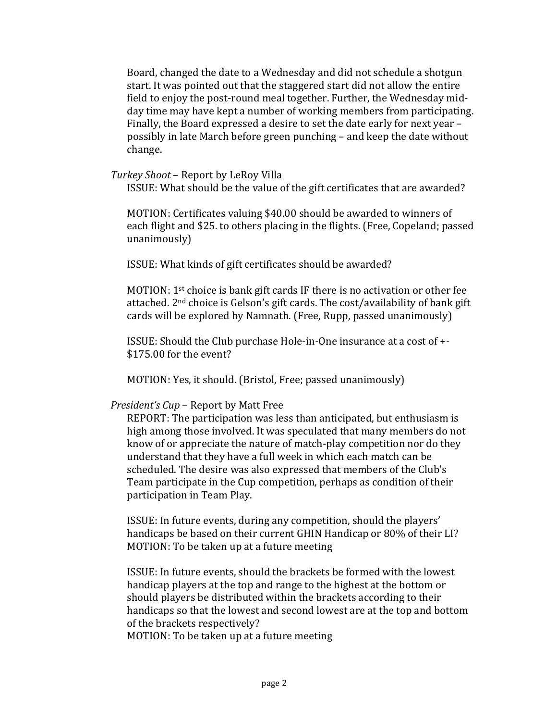Board, changed the date to a Wednesday and did not schedule a shotgun start. It was pointed out that the staggered start did not allow the entire field to enjoy the post-round meal together. Further, the Wednesday midday time may have kept a number of working members from participating. Finally, the Board expressed a desire to set the date early for next year possibly in late March before green punching – and keep the date without change.

#### *Turkey Shoot* – Report by LeRoy Villa

ISSUE: What should be the value of the gift certificates that are awarded?

MOTION: Certificates valuing \$40.00 should be awarded to winners of each flight and \$25. to others placing in the flights. (Free, Copeland; passed unanimously)

ISSUE: What kinds of gift certificates should be awarded?

MOTION:  $1^{st}$  choice is bank gift cards IF there is no activation or other fee attached.  $2<sup>nd</sup>$  choice is Gelson's gift cards. The cost/availability of bank gift cards will be explored by Namnath. (Free, Rupp, passed unanimously)

ISSUE: Should the Club purchase Hole-in-One insurance at a cost of  $+$ - $$175.00$  for the event?

MOTION: Yes, it should. (Bristol, Free; passed unanimously)

### *President's Cup* – Report by Matt Free

REPORT: The participation was less than anticipated, but enthusiasm is high among those involved. It was speculated that many members do not know of or appreciate the nature of match-play competition nor do they understand that they have a full week in which each match can be scheduled. The desire was also expressed that members of the Club's Team participate in the Cup competition, perhaps as condition of their participation in Team Play.

ISSUE: In future events, during any competition, should the players' handicaps be based on their current GHIN Handicap or 80% of their LI? MOTION: To be taken up at a future meeting

ISSUE: In future events, should the brackets be formed with the lowest handicap players at the top and range to the highest at the bottom or should players be distributed within the brackets according to their handicaps so that the lowest and second lowest are at the top and bottom of the brackets respectively?

MOTION: To be taken up at a future meeting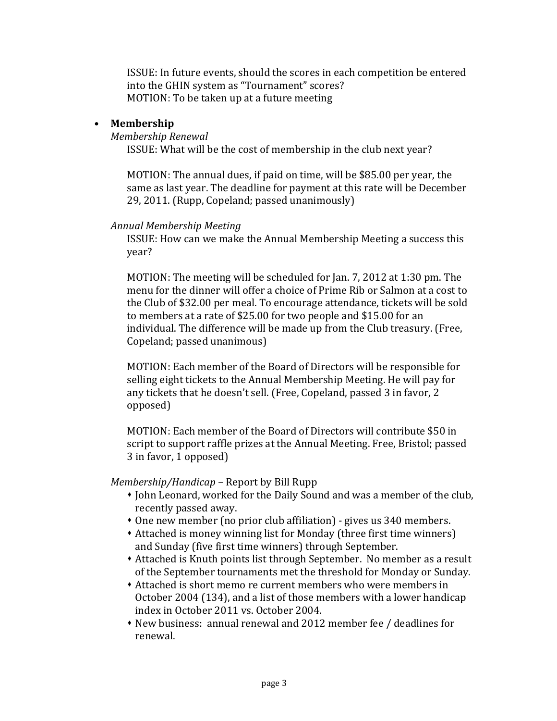ISSUE: In future events, should the scores in each competition be entered into the GHIN system as "Tournament" scores? MOTION: To be taken up at a future meeting

#### • **Membership**

#### *Membership Renewal*

ISSUE: What will be the cost of membership in the club next year?

MOTION: The annual dues, if paid on time, will be \$85.00 per year, the same as last year. The deadline for payment at this rate will be December 29, 2011. (Rupp, Copeland; passed unanimously)

#### *Annual Membership Meeting*

ISSUE: How can we make the Annual Membership Meeting a success this year?

MOTION: The meeting will be scheduled for Jan. 7, 2012 at 1:30 pm. The menu for the dinner will offer a choice of Prime Rib or Salmon at a cost to the Club of \$32.00 per meal. To encourage attendance, tickets will be sold to members at a rate of \$25.00 for two people and \$15.00 for an individual. The difference will be made up from the Club treasury. (Free, Copeland: passed unanimous)

MOTION: Each member of the Board of Directors will be responsible for selling eight tickets to the Annual Membership Meeting. He will pay for any tickets that he doesn't sell. (Free, Copeland, passed 3 in favor, 2 opposed)

MOTION: Each member of the Board of Directors will contribute \$50 in script to support raffle prizes at the Annual Meeting. Free, Bristol; passed 3 in favor, 1 opposed)

### *Membership/Handicap* – Report by Bill Rupp

- John Leonard, worked for the Daily Sound and was a member of the club, recently passed away.
- One new member (no prior club affiliation) gives us 340 members.
- Attached is money winning list for Monday (three first time winners) and Sunday (five first time winners) through September.
- Attached is Knuth points list through September. No member as a result of the September tournaments met the threshold for Monday or Sunday.
- Attached is short memo re current members who were members in October 2004 (134), and a list of those members with a lower handicap index in October 2011 vs. October 2004.
- New business: annual renewal and 2012 member fee / deadlines for renewal.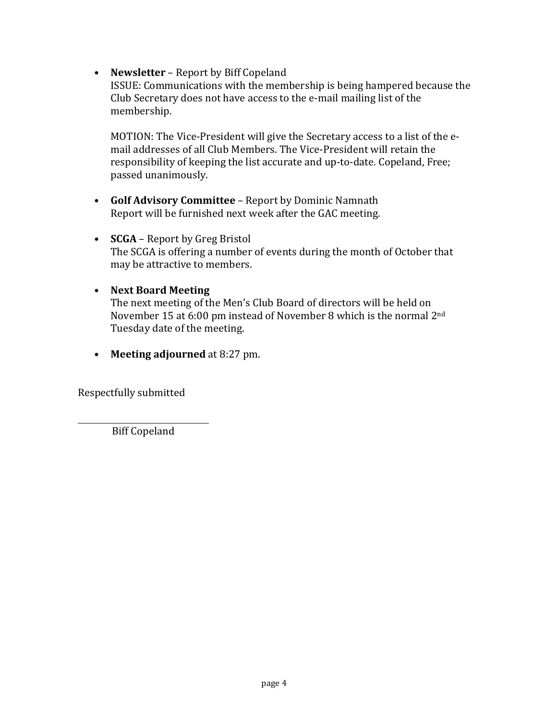• **Newsletter** – Report by Biff Copeland

ISSUE: Communications with the membership is being hampered because the Club Secretary does not have access to the e-mail mailing list of the membership.

MOTION: The Vice-President will give the Secretary access to a list of the email addresses of all Club Members. The Vice-President will retain the responsibility of keeping the list accurate and up-to-date. Copeland, Free; passed unanimously.

- **Golf Advisory Committee** Report by Dominic Namnath Report will be furnished next week after the GAC meeting.
- **SCGA** Report by Greg Bristol The SCGA is offering a number of events during the month of October that may be attractive to members.
- **Next Board Meeting**

The next meeting of the Men's Club Board of directors will be held on November 15 at 6:00 pm instead of November 8 which is the normal  $2<sup>nd</sup>$ Tuesday date of the meeting.

• **Meeting adjourned** at 8:27 pm.

Respectfully submitted

**Biff Copeland**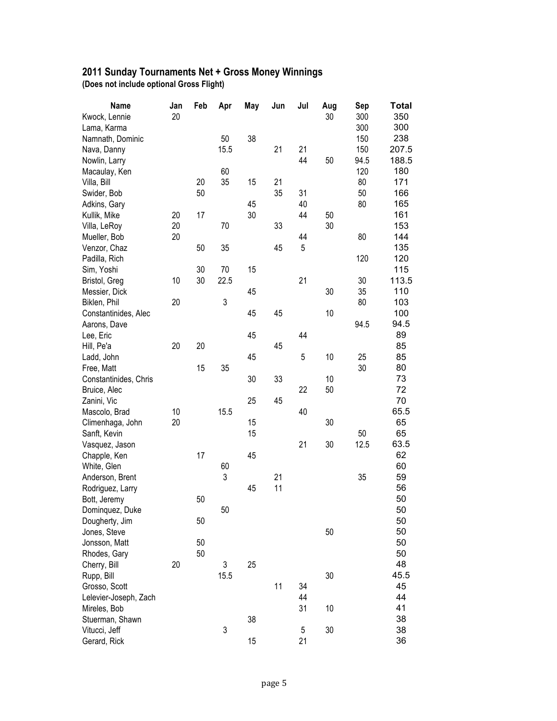#### **2011 Sunday Tournaments Net + Gross Money Winnings (Does not include optional Gross Flight)**

| <b>Name</b>                     | Jan | Feb      | Apr       | May | Jun | Jul | Aug  | Sep  | Total      |
|---------------------------------|-----|----------|-----------|-----|-----|-----|------|------|------------|
| Kwock, Lennie                   | 20  |          |           |     |     |     | 30   | 300  | 350        |
| Lama, Karma                     |     |          |           |     |     |     |      | 300  | 300        |
| Namnath, Dominic                |     |          | 50        | 38  |     |     |      | 150  | 238        |
| Nava, Danny                     |     |          | 15.5      |     | 21  | 21  |      | 150  | 207.5      |
| Nowlin, Larry                   |     |          |           |     |     | 44  | 50   | 94.5 | 188.5      |
| Macaulay, Ken                   |     |          | 60        |     |     |     |      | 120  | 180        |
| Villa, Bill                     |     | 20       | 35        | 15  | 21  |     |      | 80   | 171        |
| Swider, Bob                     |     | 50       |           |     | 35  | 31  |      | 50   | 166        |
| Adkins, Gary                    |     |          |           | 45  |     | 40  |      | 80   | 165        |
| Kullik, Mike                    | 20  | 17       |           | 30  |     | 44  | 50   |      | 161        |
| Villa, LeRoy                    | 20  |          | 70        |     | 33  |     | 30   |      | 153        |
| Mueller, Bob                    | 20  |          |           |     |     | 44  |      | 80   | 144        |
| Venzor, Chaz                    |     | 50       | 35        |     | 45  | 5   |      |      | 135        |
| Padilla, Rich                   |     |          |           |     |     |     |      | 120  | 120        |
| Sim, Yoshi                      |     | 30       | 70        | 15  |     |     |      |      | 115        |
| Bristol, Greg                   | 10  | 30       | 22.5      |     |     | 21  |      | 30   | 113.5      |
| Messier, Dick                   |     |          |           | 45  |     |     | 30   | 35   | 110        |
| Biklen, Phil                    | 20  |          | 3         |     |     |     |      | 80   | 103        |
| Constantinides, Alec            |     |          |           | 45  | 45  |     | 10   |      | 100        |
| Aarons, Dave                    |     |          |           |     |     |     |      | 94.5 | 94.5       |
| Lee, Eric                       |     |          |           | 45  |     | 44  |      |      | 89         |
| Hill, Pe'a                      | 20  | 20       |           |     | 45  |     |      |      | 85         |
| Ladd, John                      |     |          |           | 45  |     | 5   | 10   | 25   | 85         |
| Free, Matt                      |     | 15       | 35        |     |     |     |      | 30   | 80         |
| Constantinides, Chris           |     |          |           | 30  | 33  |     | $10$ |      | 73         |
| Bruice, Alec                    |     |          |           |     |     | 22  | 50   |      | 72         |
| Zanini, Vic                     |     |          |           | 25  | 45  |     |      |      | 70         |
| Mascolo, Brad                   | 10  |          | 15.5      |     |     | 40  |      |      | 65.5       |
| Climenhaga, John                | 20  |          |           | 15  |     |     | 30   |      | 65         |
| Sanft, Kevin                    |     |          |           | 15  |     |     |      | 50   | 65         |
| Vasquez, Jason                  |     |          |           |     |     | 21  | 30   | 12.5 | 63.5       |
| Chapple, Ken                    |     | 17       |           | 45  |     |     |      |      | 62         |
| White, Glen                     |     |          | 60        |     |     |     |      |      | 60         |
| Anderson, Brent                 |     |          | 3         |     | 21  |     |      | 35   | 59         |
| Rodriguez, Larry                |     |          |           | 45  | 11  |     |      |      | 56         |
| Bott, Jeremy                    |     | 50       |           |     |     |     |      |      | 50         |
| Dominquez, Duke                 |     |          | 50        |     |     |     |      |      | 50         |
| Dougherty, Jim                  |     | 50       |           |     |     |     |      |      | 50         |
| Jones, Steve                    |     |          |           |     |     |     | 50   |      | 50         |
| Jonsson, Matt                   |     | 50<br>50 |           |     |     |     |      |      | 50         |
| Rhodes, Gary                    | 20  |          |           |     |     |     |      |      | 50         |
| Cherry, Bill                    |     |          | 3<br>15.5 | 25  |     |     | 30   |      | 48<br>45.5 |
| Rupp, Bill                      |     |          |           |     | 11  | 34  |      |      | 45         |
| Grosso, Scott                   |     |          |           |     |     | 44  |      |      | 44         |
| Lelevier-Joseph, Zach           |     |          |           |     |     |     |      |      | 41         |
| Mireles, Bob<br>Stuerman, Shawn |     |          |           | 38  |     | 31  | 10   |      | 38         |
| Vitucci, Jeff                   |     |          | 3         |     |     | 5   | 30   |      | 38         |
| Gerard, Rick                    |     |          |           | 15  |     | 21  |      |      | 36         |
|                                 |     |          |           |     |     |     |      |      |            |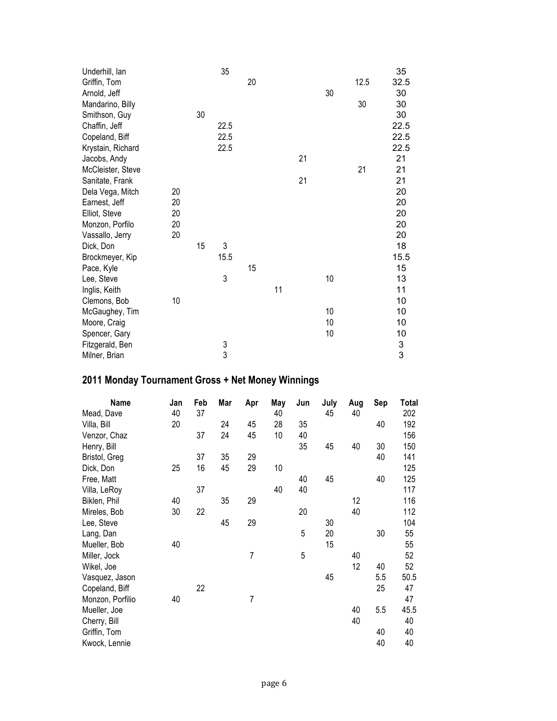| Underhill, lan    |    |    | 35            |    |    |    |    |      | 35            |
|-------------------|----|----|---------------|----|----|----|----|------|---------------|
| Griffin, Tom      |    |    |               | 20 |    |    |    | 12.5 | 32.5          |
| Arnold, Jeff      |    |    |               |    |    |    | 30 |      | 30            |
| Mandarino, Billy  |    |    |               |    |    |    |    | 30   | 30            |
| Smithson, Guy     |    | 30 |               |    |    |    |    |      | 30            |
| Chaffin, Jeff     |    |    | 22.5          |    |    |    |    |      | 22.5          |
| Copeland, Biff    |    |    | 22.5          |    |    |    |    |      | 22.5          |
| Krystain, Richard |    |    | 22.5          |    |    |    |    |      | 22.5          |
| Jacobs, Andy      |    |    |               |    |    | 21 |    |      | 21            |
| McCleister, Steve |    |    |               |    |    |    |    | 21   | 21            |
| Sanitate, Frank   |    |    |               |    |    | 21 |    |      | 21            |
| Dela Vega, Mitch  | 20 |    |               |    |    |    |    |      | 20            |
| Earnest, Jeff     | 20 |    |               |    |    |    |    |      | 20            |
| Elliot, Steve     | 20 |    |               |    |    |    |    |      | 20            |
| Monzon, Porfilo   | 20 |    |               |    |    |    |    |      | 20            |
| Vassallo, Jerry   | 20 |    |               |    |    |    |    |      | 20            |
| Dick, Don         |    | 15 | 3             |    |    |    |    |      | 18            |
| Brockmeyer, Kip   |    |    | 15.5          |    |    |    |    |      | 15.5          |
| Pace, Kyle        |    |    |               | 15 |    |    |    |      | 15            |
| Lee, Steve        |    |    | 3             |    |    |    | 10 |      | 13            |
| Inglis, Keith     |    |    |               |    | 11 |    |    |      | 11            |
| Clemons, Bob      | 10 |    |               |    |    |    |    |      | 10            |
| McGaughey, Tim    |    |    |               |    |    |    | 10 |      | 10            |
| Moore, Craig      |    |    |               |    |    |    | 10 |      | 10            |
| Spencer, Gary     |    |    |               |    |    |    | 10 |      | 10            |
| Fitzgerald, Ben   |    |    | $\frac{3}{3}$ |    |    |    |    |      | $\frac{3}{3}$ |
| Milner, Brian     |    |    |               |    |    |    |    |      |               |

# **2011 Monday Tournament Gross + Net Money Winnings**

| Name             | Jan | Feb | Mar | Apr            | May | Jun | July | Aug | Sep | Total |
|------------------|-----|-----|-----|----------------|-----|-----|------|-----|-----|-------|
| Mead, Dave       | 40  | 37  |     |                | 40  |     | 45   | 40  |     | 202   |
| Villa, Bill      | 20  |     | 24  | 45             | 28  | 35  |      |     | 40  | 192   |
| Venzor, Chaz     |     | 37  | 24  | 45             | 10  | 40  |      |     |     | 156   |
| Henry, Bill      |     |     |     |                |     | 35  | 45   | 40  | 30  | 150   |
| Bristol, Greg    |     | 37  | 35  | 29             |     |     |      |     | 40  | 141   |
| Dick, Don        | 25  | 16  | 45  | 29             | 10  |     |      |     |     | 125   |
| Free, Matt       |     |     |     |                |     | 40  | 45   |     | 40  | 125   |
| Villa, LeRoy     |     | 37  |     |                | 40  | 40  |      |     |     | 117   |
| Biklen, Phil     | 40  |     | 35  | 29             |     |     |      | 12  |     | 116   |
| Mireles, Bob     | 30  | 22  |     |                |     | 20  |      | 40  |     | 112   |
| Lee, Steve       |     |     | 45  | 29             |     |     | 30   |     |     | 104   |
| Lang, Dan        |     |     |     |                |     | 5   | 20   |     | 30  | 55    |
| Mueller, Bob     | 40  |     |     |                |     |     | 15   |     |     | 55    |
| Miller, Jock     |     |     |     | $\overline{7}$ |     | 5   |      | 40  |     | 52    |
| Wikel, Joe       |     |     |     |                |     |     |      | 12  | 40  | 52    |
| Vasquez, Jason   |     |     |     |                |     |     | 45   |     | 5.5 | 50.5  |
| Copeland, Biff   |     | 22  |     |                |     |     |      |     | 25  | 47    |
| Monzon, Porfilio | 40  |     |     | 7              |     |     |      |     |     | 47    |
| Mueller, Joe     |     |     |     |                |     |     |      | 40  | 5.5 | 45.5  |
| Cherry, Bill     |     |     |     |                |     |     |      | 40  |     | 40    |
| Griffin, Tom     |     |     |     |                |     |     |      |     | 40  | 40    |
| Kwock, Lennie    |     |     |     |                |     |     |      |     | 40  | 40    |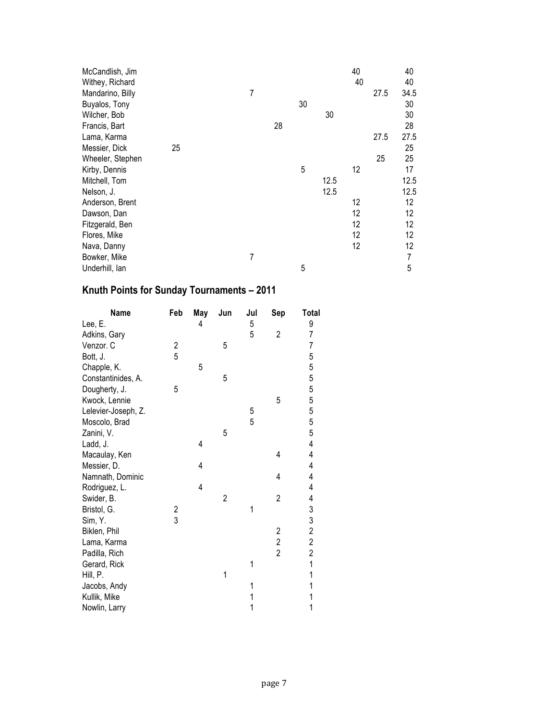| McCandlish, Jim  |    |  |   |    |    |      | 40 |      | 40   |
|------------------|----|--|---|----|----|------|----|------|------|
| Withey, Richard  |    |  |   |    |    |      | 40 |      | 40   |
| Mandarino, Billy |    |  | 7 |    |    |      |    | 27.5 | 34.5 |
| Buyalos, Tony    |    |  |   |    | 30 |      |    |      | 30   |
| Wilcher, Bob     |    |  |   |    |    | 30   |    |      | 30   |
| Francis, Bart    |    |  |   | 28 |    |      |    |      | 28   |
| Lama, Karma      |    |  |   |    |    |      |    | 27.5 | 27.5 |
| Messier, Dick    | 25 |  |   |    |    |      |    |      | 25   |
| Wheeler, Stephen |    |  |   |    |    |      |    | 25   | 25   |
| Kirby, Dennis    |    |  |   |    | 5  |      | 12 |      | 17   |
| Mitchell, Tom    |    |  |   |    |    | 12.5 |    |      | 12.5 |
| Nelson, J.       |    |  |   |    |    | 12.5 |    |      | 12.5 |
| Anderson, Brent  |    |  |   |    |    |      | 12 |      | 12   |
| Dawson, Dan      |    |  |   |    |    |      | 12 |      | 12   |
| Fitzgerald, Ben  |    |  |   |    |    |      | 12 |      | 12   |
| Flores, Mike     |    |  |   |    |    |      | 12 |      | 12   |
| Nava, Danny      |    |  |   |    |    |      | 12 |      | 12   |
| Bowker, Mike     |    |  | 7 |    |    |      |    |      | 7    |
| Underhill, lan   |    |  |   |    | 5  |      |    |      | 5    |

# **Knuth Points for Sunday Tournaments – 2011**

| Name                | Feb                     | May            | Jun            | Jul | Sep                     | <b>Total</b>            |
|---------------------|-------------------------|----------------|----------------|-----|-------------------------|-------------------------|
| Lee, E.             |                         | 4              |                | 5   |                         | 9                       |
| Adkins, Gary        |                         |                |                | 5   | $\overline{c}$          | 7                       |
| Venzor. C           | $\overline{\mathbf{c}}$ |                | 5              |     |                         | 7                       |
| Bott, J.            | 5                       |                |                |     |                         |                         |
| Chapple, K.         |                         | 5              |                |     |                         |                         |
| Constantinides, A.  |                         |                | 5              |     |                         |                         |
| Dougherty, J.       | 5                       |                |                |     |                         |                         |
| Kwock, Lennie       |                         |                |                |     | 5                       |                         |
| Lelevier-Joseph, Z. |                         |                |                | 5   |                         |                         |
| Moscolo, Brad       |                         |                |                | 5   |                         | 555555555               |
| Zanini, V.          |                         |                | 5              |     |                         |                         |
| Ladd, J.            |                         | 4              |                |     |                         | 4                       |
| Macaulay, Ken       |                         |                |                |     | 4                       | 4                       |
| Messier, D.         |                         | 4              |                |     |                         | 4                       |
| Namnath, Dominic    |                         |                |                |     | 4                       | 4                       |
| Rodriguez, L.       |                         | $\overline{4}$ |                |     |                         | 4                       |
| Swider, B.          |                         |                | $\overline{2}$ |     | $\overline{c}$          |                         |
| Bristol, G.         | $\overline{\mathbf{c}}$ |                |                | 1   |                         |                         |
| Sim, Y.             | 3                       |                |                |     |                         |                         |
| Biklen, Phil        |                         |                |                |     | $\overline{\mathbf{c}}$ | 4 3 3 2 2 2 1           |
| Lama, Karma         |                         |                |                |     | $\overline{c}$          |                         |
| Padilla, Rich       |                         |                |                |     | $\overline{2}$          |                         |
| Gerard, Rick        |                         |                |                | 1   |                         |                         |
| Hill, P.            |                         |                | 1              |     |                         | $\overline{\mathbf{1}}$ |
| Jacobs, Andy        |                         |                |                | 1   |                         | $\overline{1}$          |
| Kullik, Mike        |                         |                |                |     |                         | $\mathbf{1}$            |
| Nowlin, Larry       |                         |                |                | 1   |                         | $\overline{1}$          |